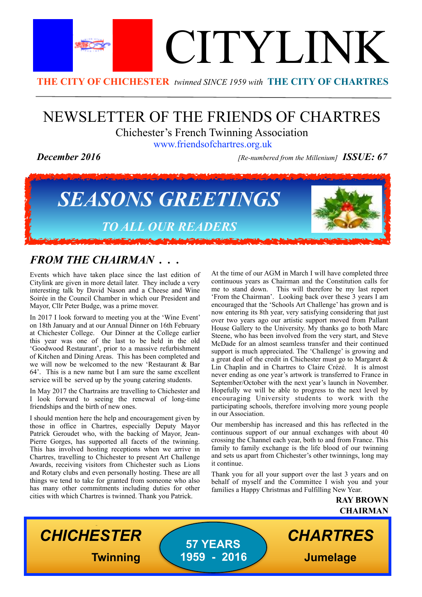

# NEWSLETTER OF THE FRIENDS OF CHARTRES Chichester's French Twinning Association

[www.friendsofchartres.org.uk](http://www.friendsofchartres.org.uk)

*December 2016 [Re-numbered from the Millenium] ISSUE: 67*



# *FROM THE CHAIRMAN . . .*

Events which have taken place since the last edition of Citylink are given in more detail later. They include a very interesting talk by David Nason and a Cheese and Wine Soirée in the Council Chamber in which our President and Mayor, Cllr Peter Budge, was a prime mover.

In 2017 I look forward to meeting you at the 'Wine Event' on 18th January and at our Annual Dinner on 16th February at Chichester College. Our Dinner at the College earlier this year was one of the last to be held in the old 'Goodwood Restaurant', prior to a massive refurbishment of Kitchen and Dining Areas. This has been completed and we will now be welcomed to the new 'Restaurant & Bar 64'. This is a new name but I am sure the same excellent service will be served up by the young catering students.

In May 2017 the Chartrains are travelling to Chichester and I look forward to seeing the renewal of long-time friendships and the birth of new ones.

I should mention here the help and encouragement given by those in office in Chartres, especially Deputy Mayor Patrick Geroudet who, with the backing of Mayor, Jean-Pierre Gorges, has supported all facets of the twinning. This has involved hosting receptions when we arrive in Chartres, travelling to Chichester to present Art Challenge Awards, receiving visitors from Chichester such as Lions and Rotary clubs and even personally hosting. These are all things we tend to take for granted from someone who also has many other commitments including duties for other cities with which Chartres is twinned. Thank you Patrick.

At the time of our AGM in March I will have completed three continuous years as Chairman and the Constitution calls for me to stand down. This will therefore be my last report 'From the Chairman'. Looking back over these 3 years I am encouraged that the 'Schools Art Challenge' has grown and is now entering its 8th year, very satisfying considering that just over two years ago our artistic support moved from Pallant House Gallery to the University. My thanks go to both Marc Steene, who has been involved from the very start, and Steve McDade for an almost seamless transfer and their continued support is much appreciated. The 'Challenge' is growing and a great deal of the credit in Chichester must go to Margaret & Lin Chaplin and in Chartres to Claire Crézé. It is almost never ending as one year's artwork is transferred to France in September/October with the next year's launch in November. Hopefully we will be able to progress to the next level by encouraging University students to work with the participating schools, therefore involving more young people in our Association.

Our membership has increased and this has reflected in the continuous support of our annual exchanges with about 40 crossing the Channel each year, both to and from France. This family to family exchange is the life blood of our twinning and sets us apart from Chichester's other twinnings, long may it continue.

Thank you for all your support over the last 3 years and on behalf of myself and the Committee I wish you and your families a Happy Christmas and Fulfilling New Year.

> **RAY BROWN CHAIRMAN**

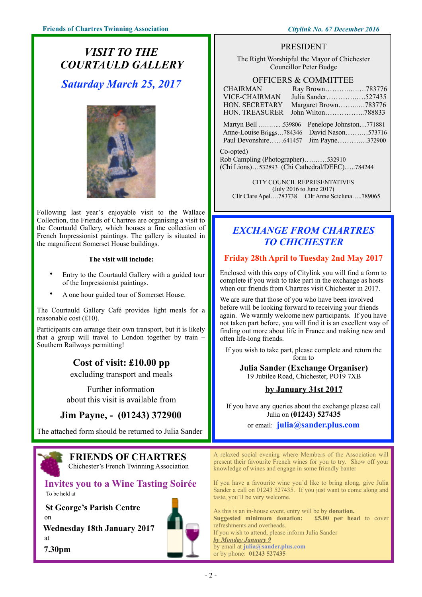# *VISIT TO THE COURTAULD GALLERY Saturday March 25, 2017*



Following last year's enjoyable visit to the Wallace Collection, the Friends of Chartres are organising a visit to the Courtauld Gallery, which houses a fine collection of French Impressionist paintings. The gallery is situated in the magnificent Somerset House buildings.

#### **The visit will include:**

- Entry to the Courtauld Gallery with a guided tour of the Impressionist paintings.
- A one hour guided tour of Somerset House.

The Courtauld Gallery Café provides light meals for a reasonable cost (£10).

Participants can arrange their own transport, but it is likely that a group will travel to London together by train – Southern Railways permitting!

### **Cost of visit: £10.00 pp**

excluding transport and meals

Further information about this visit is available from

# **Jim Payne, - (01243) 372900**

The attached form should be returned to Julia Sander



# **FRIENDS OF CHARTRES**

Chichester's French Twinning Association

#### **Invites you to a Wine Tasting Soirée**  To be held at

 **St George's Parish Centre**  on  **Wednesday 18th January 2017**  at  **7.30pm**



#### PRESIDENT

The Right Worshipful the Mayor of Chichester Councillor Peter Budge

#### OFFICERS & COMMITTEE

| <b>CHAIRMAN</b>                                                         | Ray Brown783776                                                 |  |  |
|-------------------------------------------------------------------------|-----------------------------------------------------------------|--|--|
| <b>VICE-CHAIRMAN</b>                                                    | Julia Sander527435                                              |  |  |
| HON. SECRETARY                                                          | Margaret Brown783776                                            |  |  |
| HON. TREASURER                                                          | John Wilton788833                                               |  |  |
| Martyn Bell 539806<br>Anne-Louise Briggs784346<br>Paul Devonshire641457 | Penelope Johnston771881<br>David Nason573716<br>Jim Payne372900 |  |  |
| Co-opted)                                                               |                                                                 |  |  |
| Rob Campling (Photographer)532910                                       |                                                                 |  |  |
| (Chi Lions)532893 (Chi Cathedral/DEEC)784244                            |                                                                 |  |  |

CITY COUNCIL REPRESENTATIVES (July 2016 to June 2017)

Cllr Clare Apel….783738 Cllr Anne Scicluna…..789065

# *EXCHANGE FROM CHARTRES TO CHICHESTER*

#### **Friday 28th April to Tuesday 2nd May 2017**

Enclosed with this copy of Citylink you will find a form to complete if you wish to take part in the exchange as hosts when our friends from Chartres visit Chichester in 2017.

We are sure that those of you who have been involved before will be looking forward to receiving your friends again. We warmly welcome new participants. If you have not taken part before, you will find it is an excellent way of finding out more about life in France and making new and often life-long friends.

If you wish to take part, please complete and return the form to

**Julia Sander (Exchange Organiser)**  19 Jubilee Road, Chichester, PO19 7XB

#### **by January 31st 2017**

If you have any queries about the exchange please call Julia on **(01243) 527435** 

or email: **julia@sander.plus.com** 

A relaxed social evening where Members of the Association will present their favourite French wines for you to try. Show off your knowledge of wines and engage in some friendly banter

If you have a favourite wine you'd like to bring along, give Julia Sander a call on 01243 527435. If you just want to come along and taste, you'll be very welcome.

As this is an in-house event, entry will be by **donation. Suggested minimum donation: £5.00 per head** to cover refreshments and overheads. If you wish to attend, please inform Julia Sander *by Monday January 9*  by email at **julia@sander.plus.com** or by phone: **01243 527435**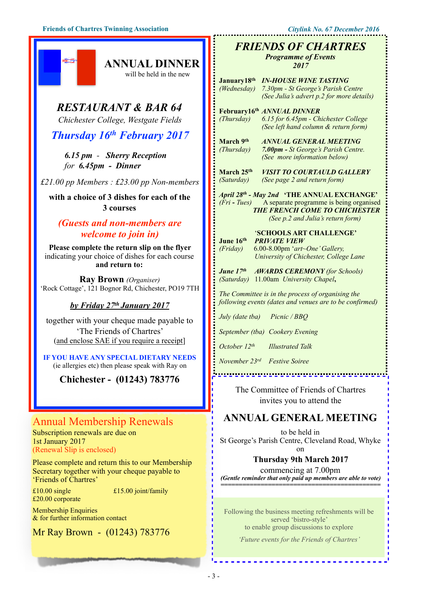# *RESTAURANT & BAR 64*

**ANNUAL DINNER** will be held in the new

*Chichester College, Westgate Fields*

# *Thursday 16th February 2017*

*6.15 pm - Sherry Reception for 6.45pm - Dinner* 

*£21.00 pp Members : £23.00 pp Non-members*

**with a choice of 3 dishes for each of the 3 courses** 

#### *(Guests and non-members are welcome to join in)*

**Please complete the return slip on the flyer**  indicating your choice of dishes for each course **and return to:** 

**Ray Brown** *(Organiser)*  'Rock Cottage', 121 Bognor Rd, Chichester, PO19 7TH

#### *by Friday 27th January 2017*

together with your cheque made payable to 'The Friends of Chartres' (and enclose SAE if you require a receipt]

**IF YOU HAVE ANY SPECIAL DIETARY NEEDS**  (ie allergies etc) then please speak with Ray on

**Chichester - (01243) 783776** 

# Annual Membership Renewals

Subscription renewals are due on 1st January 2017 (Renewal Slip is enclosed)

Please complete and return this to our Membership Secretary together with your cheque payable to 'Friends of Chartres'

£20.00 corporate

 $£10.00$  single  $£15.00$  joint/family

Membership Enquiries & for further information contact

Mr Ray Brown - (01243) 783776

#### *FRIENDS OF CHARTRES Programme of Events*

*2017*

| January18th<br>(Wednesday)                                                                                                                                                      | <b>IN-HOUSE WINE TASTING</b><br>7.30pm - St George's Parish Centre<br>(See Julia's advert p.2 for more details)            |  |
|---------------------------------------------------------------------------------------------------------------------------------------------------------------------------------|----------------------------------------------------------------------------------------------------------------------------|--|
| (Thursday)                                                                                                                                                                      | February16th ANNUAL DINNER<br>6.15 for 6.45pm - Chichester College<br>(See left hand column & return form)                 |  |
| March 9th<br>(Thursday)                                                                                                                                                         | <b>ANNUAL GENERAL MEETING</b><br>7.00pm - St George's Parish Centre.<br>(See more information below)                       |  |
| March 25 <sup>th</sup><br>(Saturday)                                                                                                                                            | <b>VISIT TO COURTAULD GALLERY</b><br>(See page 2 and return form)                                                          |  |
| April 28th - May 2nd 'THE ANNUAL EXCHANGE'<br>(Fri - Tues) A separate programme is being organised<br><b>THE FRENCH COME TO CHICHESTER</b><br>(See p.2 and Julia's return form) |                                                                                                                            |  |
| June 16th<br>(Friday)                                                                                                                                                           | 'SCHOOLS ART CHALLENGE'<br><b>PRIVATE VIEW</b><br>6.00-8.00pm 'art~One' Gallery,<br>University of Chichester, College Lane |  |
| <b>June 17th</b><br><b>AWARDS CEREMONY</b> (for Schools)<br>(Saturday) 11.00am University Chapel,                                                                               |                                                                                                                            |  |
| The Committee is in the process of organising the<br>following events (dates and venues are to be confirmed)                                                                    |                                                                                                                            |  |
| July (date tba) Picnic / BBO                                                                                                                                                    |                                                                                                                            |  |
| September (tba) Cookery Evening                                                                                                                                                 |                                                                                                                            |  |
| October $12^{th}$<br><b>Illustrated Talk</b>                                                                                                                                    |                                                                                                                            |  |
|                                                                                                                                                                                 | November 23rd Festive Soiree                                                                                               |  |
|                                                                                                                                                                                 |                                                                                                                            |  |
|                                                                                                                                                                                 | The Committee of Friends of Chartres<br>invites you to attend the                                                          |  |
|                                                                                                                                                                                 | <b>ANNUAL GENERAL MEETING</b>                                                                                              |  |
|                                                                                                                                                                                 | to be held in<br>St George's Parish Centre, Cleveland Road, Whyke<br>on                                                    |  |
|                                                                                                                                                                                 | <b>Thursday 9th March 2017</b>                                                                                             |  |

commencing at 7.00pm *(Gentle reminder that only paid up members are able to vote) ============================================*

Following the business meeting refreshments will be served 'bistro-style' to enable group discussions to explore

*'Future events for the Friends of Chartres'*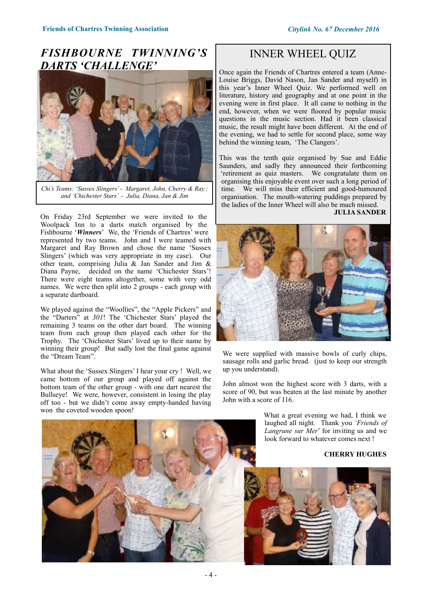# *FISHBOURNE TWINNING'S DARTS 'CHALLENGE'*



*Chi's Teams: 'Sussex Slingers' - Margaret, John, Cherry & Ray ; and 'Chichester Stars' - Julia, Diana, Jan & Jim*

On Friday 23rd September we were invited to the Woolpack Inn to a darts match organised by the Fishbourne '*Winners*' We, the 'Friends of Chartres' were represented by two teams. John and I were teamed with Margaret and Ray Brown and chose the name 'Sussex Slingers' (which was very appropriate in my case). Our other team, comprising Julia & Jan Sander and Jim & Diana Payne, decided on the name 'Chichester Stars'! There were eight teams altogether, some with very odd names. We were then split into 2 groups - each group with a separate dartboard.

We played against the "Woollies", the "Apple Pickers" and the "Darters" at *301*! The 'Chichester Stars' played the remaining 3 teams on the other dart board. The winning team from each group then played each other for the Trophy. The 'Chichester Stars' lived up to their name by winning their group! But sadly lost the final game against the "Dream Team".

What about the 'Sussex Slingers' I hear your cry ! Well, we came bottom of our group and played off against the bottom team of the other group - with one dart nearest the Bullseye! We were, however, consistent in losing the play off too - but we didn't come away empty-handed having won the coveted wooden spoon!

# INNER WHEEL QUIZ

Once again the Friends of Chartres entered a team (Anne-Louise Briggs, David Nason, Jan Sander and myself) in this year's Inner Wheel Quiz. We performed well on literature, history and geography and at one point in the evening were in first place. It all came to nothing in the end, however, when we were floored by popular music questions in the music section. Had it been classical music, the result might have been different. At the end of the evening, we had to settle for second place, some way behind the winning team, 'The Clangers'.

This was the tenth quiz organised by Sue and Eddie Saunders, and sadly they announced their forthcoming 'retirement as quiz masters. We congratulate them on organising this enjoyable event over such a long period of time. We will miss their efficient and good-humoured organisation. The mouth-watering puddings prepared by the ladies of the Inner Wheel will also be much missed.

**JULIA SANDER**



We were supplied with massive bowls of curly chips, sausage rolls and garlic bread. (just to keep our strength up you understand).

John almost won the highest score with 3 darts, with a score of 90, but was beaten at the last minute by another John with a score of 116.

> What a great evening we had, I think we laughed all night. Thank you *'Friends of Langrune sur Mer*' for inviting us and we look forward to whatever comes next !

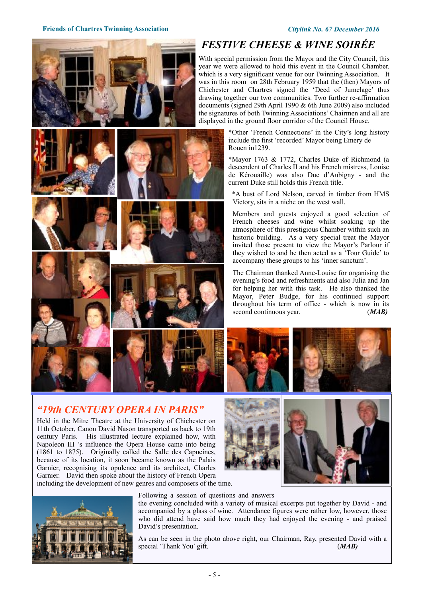

# *"19th CENTURY OPERA IN PARIS"*

Held in the Mitre Theatre at the University of Chichester on 11th October, Canon David Nason transported us back to 19th century Paris. His illustrated lecture explained how, with Napoleon III 's influence the Opera House came into being (1861 to 1875). Originally called the Salle des Capucines, because of its location, it soon became known as the Palais Garnier, recognising its opulence and its architect, Charles Garnier. David then spoke about the history of French Opera including the development of new genres and composers of the time.



#### Following a session of questions and answers

the evening concluded with a variety of musical excerpts put together by David - and accompanied by a glass of wine. Attendance figures were rather low, however, those who did attend have said how much they had enjoyed the evening - and praised David's presentation.

As can be seen in the photo above right, our Chairman, Ray, presented David with a special 'Thank You' gift. (*MAB*)



With special permission from the Mayor and the City Council, this year we were allowed to hold this event in the Council Chamber. which is a very significant venue for our Twinning Association. It was in this room on 28th February 1959 that the (then) Mayors of Chichester and Chartres signed the 'Deed of Jumelage' thus drawing together our two communities. Two further re-affirmation documents (signed 29th April 1990 & 6th June 2009) also included the signatures of both Twinning Associations' Chairmen and all are displayed in the ground floor corridor of the Council House.

> \*Other 'French Connections' in the City's long history include the first 'recorded' Mayor being Emery de Rouen in1239.

\*Mayor 1763 & 1772, Charles Duke of Richmond (a descendent of Charles II and his French mistress, Louise de Kérouaille) was also Duc d'Aubigny - and the current Duke still holds this French title.

\*A bust of Lord Nelson, carved in timber from HMS Victory, sits in a niche on the west wall.

Members and guests enjoyed a good selection of French cheeses and wine whilst soaking up the atmosphere of this prestigious Chamber within such an historic building. As a very special treat the Mayor invited those present to view the Mayor's Parlour if they wished to and he then acted as a 'Tour Guide' to accompany these groups to his 'inner sanctum'.

The Chairman thanked Anne-Louise for organising the evening's food and refreshments and also Julia and Jan for helping her with this task. He also thanked the Mayor, Peter Budge, for his continued support throughout his term of office - which is now in its second continuous year. (*MAB*)





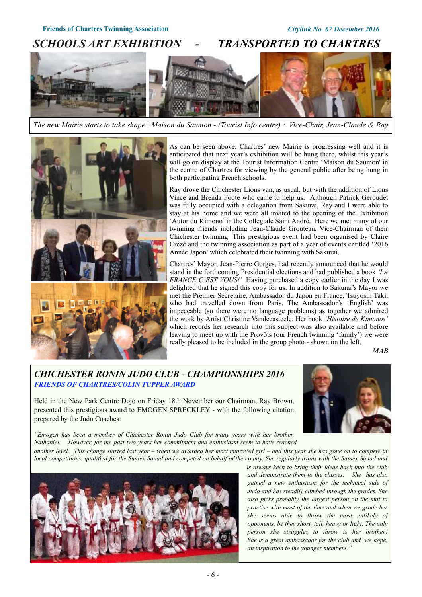# *SCHOOLS ART EXHIBITION - TRANSPORTED TO CHARTRES*

*The new Mairie starts to take shape* : *Maison du Saumon - (Tourist Info centre) : Vice-Chair, Jean-Claude & Ray*





As can be seen above, Chartres' new Mairie is progressing well and it is anticipated that next year's exhibition will be hung there, whilst this year's will go on display at the Tourist Information Centre 'Maison du Saumon' in the centre of Chartres for viewing by the general public after being hung in both participating French schools.

Ray drove the Chichester Lions van, as usual, but with the addition of Lions Vince and Brenda Foote who came to help us. Although Patrick Geroudet was fully occupied with a delegation from Sakurai, Ray and I were able to stay at his home and we were all invited to the opening of the Exhibition 'Autor du Kimono' in the Collegiale Saint André. Here we met many of our twinning friends including Jean-Claude Grouteau, Vice-Chairman of their Chichester twinning. This prestigious event had been organised by Claire Crézé and the twinning association as part of a year of events entitled '2016 Année Japon' which celebrated their twinning with Sakurai.

Chartres' Mayor, Jean-Pierre Gorges, had recently announced that he would stand in the forthcoming Presidential elections and had published a book *'LA FRANCE C'EST VOUS!'* Having purchased a copy earlier in the day I was delighted that he signed this copy for us. In addition to Sakurai's Mayor we met the Premier Secretaire, Ambassador du Japon en France, Tsuyoshi Taki, who had travelled down from Paris. The Ambassador's 'English' was impeccable (so there were no language problems) as together we admired the work by Artist Christine Vandecasteele. Her book *'Histoire de Kimonos'* which records her research into this subject was also available and before leaving to meet up with the Provôts (our French twinning 'family') we were really pleased to be included in the group photo - shown on the left.

*MAB* 

#### *CHICHESTER RONIN JUDO CLUB - CHAMPIONSHIPS 2016 FRIENDS OF CHARTRES/COLIN TUPPER AWARD*

Held in the New Park Centre Dojo on Friday 18th November our Chairman, Ray Brown, presented this prestigious award to EMOGEN SPRECKLEY - with the following citation prepared by the Judo Coaches:



*"Emogen has been a member of Chichester Ronin Judo Club for many years with her brother, Nathaniel. However, for the past two years her commitment and enthusiasm seem to have reached another level. This change started last year – when we awarded her most improved girl – and this year she has gone on to compete in local competitions, qualified for the Sussex Squad and competed on behalf of the county. She regularly trains with the Sussex Squad and* 



*is always keen to bring their ideas back into the club and demonstrate them to the classes. She has also gained a new enthusiasm for the technical side of Judo and has steadily climbed through the grades. She also picks probably the largest person on the mat to practise with most of the time and when we grade her she seems able to throw the most unlikely of opponents, be they short, tall, heavy or light. The only person she struggles to throw is her brother! She is a great ambassador for the club and, we hope, an inspiration to the younger members."*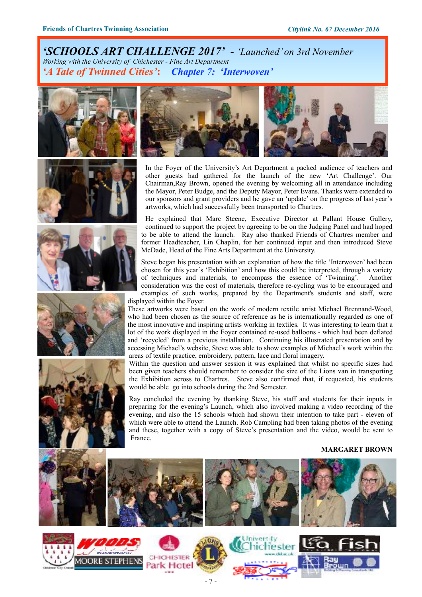*'SCHOOLS ART CHALLENGE 2017' - 'Launched' on 3rd November Working with the University of Chichester - Fine Art Department 'A Tale of Twinned Cities'***:** *Chapter 7: 'Interwoven'*













In the Foyer of the University's Art Department a packed audience of teachers and other guests had gathered for the launch of the new 'Art Challenge'. Our Chairman,Ray Brown, opened the evening by welcoming all in attendance including the Mayor, Peter Budge, and the Deputy Mayor, Peter Evans. Thanks were extended to our sponsors and grant providers and he gave an 'update' on the progress of last year's artworks, which had successfully been transported to Chartres.

He explained that Marc Steene, Executive Director at Pallant House Gallery, continued to support the project by agreeing to be on the Judging Panel and had hoped to be able to attend the launch. Ray also thanked Friends of Chartres member and former Headteacher, Lin Chaplin, for her continued input and then introduced Steve McDade, Head of the Fine Arts Department at the University.

Steve began his presentation with an explanation of how the title 'Interwoven' had been chosen for this year's 'Exhibition' and how this could be interpreted, through a variety of techniques and materials, to encompass the essence of 'Twinning'. Another consideration was the cost of materials, therefore re-cycling was to be encouraged and examples of such works, prepared by the Department's students and staff, were displayed within the Foyer.

These artworks were based on the work of modern textile artist Michael Brennand-Wood, who had been chosen as the source of reference as he is internationally regarded as one of the most innovative and inspiring artists working in textiles. It was interesting to learn that a lot of the work displayed in the Foyer contained re-used balloons - which had been deflated and 'recycled' from a previous installation. Continuing his illustrated presentation and by accessing Michael's website, Steve was able to show examples of Michael's work within the areas of textile practice, embroidery, pattern, lace and floral imagery.

Within the question and answer session it was explained that whilst no specific sizes had been given teachers should remember to consider the size of the Lions van in transporting the Exhibition across to Chartres. Steve also confirmed that, if requested, his students would be able go into schools during the 2nd Semester.

Ray concluded the evening by thanking Steve, his staff and students for their inputs in preparing for the evening's Launch, which also involved making a video recording of the evening, and also the 15 schools which had shown their intention to take part - eleven of which were able to attend the Launch. Rob Campling had been taking photos of the evening and these, together with a copy of Steve's presentation and the video, would be sent to France.

#### **MARGARET BROWN**